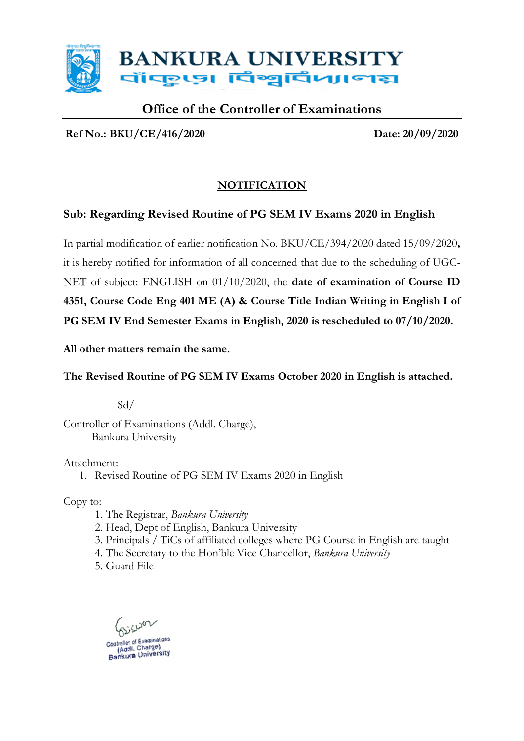

### **Office of the Controller of Examinations**

**Ref No.: BKU/CE/416/2020 Date: 20/09/2020**

#### **NOTIFICATION**

#### **Sub: Regarding Revised Routine of PG SEM IV Exams 2020 in English**

In partial modification of earlier notification No. BKU/CE/394/2020 dated 15/09/2020**,**  it is hereby notified for information of all concerned that due to the scheduling of UGC-NET of subject: ENGLISH on 01/10/2020, the **date of examination of Course ID 4351, Course Code Eng 401 ME (A) & Course Title Indian Writing in English I of PG SEM IV End Semester Exams in English, 2020 is rescheduled to 07/10/2020.** 

**All other matters remain the same.**

#### **The Revised Routine of PG SEM IV Exams October 2020 in English is attached.**

 $Sd$  /-

Controller of Examinations (Addl. Charge), Bankura University

Attachment:

1. Revised Routine of PG SEM IV Exams 2020 in English

Copy to:

- 1. The Registrar, *Bankura University*
- 2. Head, Dept of English, Bankura University
- 3. Principals / TiCs of affiliated colleges where PG Course in English are taught
- 4. The Secretary to the Hon'ble Vice Chancellor, *Bankura University*

5. Guard File

cusor (Addl. Charge) (Addl. Charger<br>Bankura University